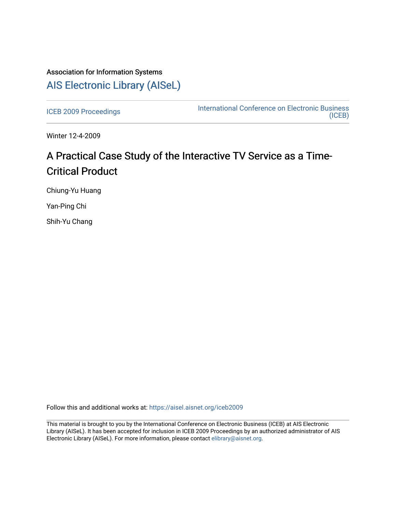## Association for Information Systems [AIS Electronic Library \(AISeL\)](https://aisel.aisnet.org/)

[ICEB 2009 Proceedings](https://aisel.aisnet.org/iceb2009) **International Conference on Electronic Business** [\(ICEB\)](https://aisel.aisnet.org/iceb) 

Winter 12-4-2009

# A Practical Case Study of the Interactive TV Service as a Time-Critical Product

Chiung-Yu Huang

Yan-Ping Chi

Shih-Yu Chang

Follow this and additional works at: [https://aisel.aisnet.org/iceb2009](https://aisel.aisnet.org/iceb2009?utm_source=aisel.aisnet.org%2Ficeb2009%2F92&utm_medium=PDF&utm_campaign=PDFCoverPages)

This material is brought to you by the International Conference on Electronic Business (ICEB) at AIS Electronic Library (AISeL). It has been accepted for inclusion in ICEB 2009 Proceedings by an authorized administrator of AIS Electronic Library (AISeL). For more information, please contact [elibrary@aisnet.org.](mailto:elibrary@aisnet.org%3E)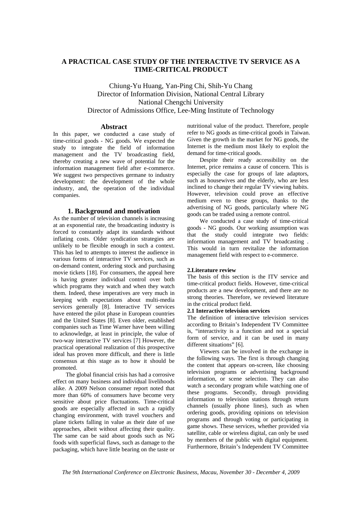### **A PRACTICAL CASE STUDY OF THE INTERACTIVE TV SERVICE AS A TIME-CRITICAL PRODUCT**

Chiung-Yu Huang, Yan-Ping Chi, Shih-Yu Chang Director of Information Division, National Central Library National Chengchi University Director of Admissions Office, Lee-Ming Institute of Technology

#### **Abstract**

In this paper, we conducted a case study of time-critical goods - NG goods. We expected the study to integrate the field of information management and the TV broadcasting field, thereby creating a new wave of potential for the information management field after e-commerce. We suggest two perspectives germane to industry development: the development of the whole industry, and, the operation of the individual companies.

#### **1. Background and motivation**

As the number of television channels is increasing at an exponential rate, the broadcasting industry is forced to constantly adapt its standards without inflating costs. Older syndication strategies are unlikely to be flexible enough in such a context. This has led to attempts to interest the audience in various forms of interactive TV services, such as on-demand content, ordering stock and purchasing movie tickets [18]. For consumers, the appeal here is having greater individual control over both which programs they watch and when they watch them. Indeed, these imperatives are very much in keeping with expectations about multi-media services generally [8]. Interactive TV services have entered the pilot phase in European countries and the United States [8]. Even older, established companies such as Time Warner have been willing to acknowledge, at least in principle, the value of two-way interactive TV services [7] However, the practical operational realization of this prospective ideal has proven more difficult, and there is little consensus at this stage as to how it should be promoted.

The global financial crisis has had a corrosive effect on many business and individual livelihoods alike. A 2009 Nelson consumer report noted that more than 60% of consumers have become very sensitive about price fluctuations. Time-critical goods are especially affected in such a rapidly changing environment, with travel vouchers and plane tickets falling in value as their date of use approaches, albeit without affecting their quality. The same can be said about goods such as NG foods with superficial flaws, such as damage to the packaging, which have little bearing on the taste or

nutritional value of the product. Therefore, people refer to NG goods as time-critical goods in Taiwan. Given the growth in the market for NG goods, the Internet is the medium most likely to exploit the demand for time-critical goods.

Despite their ready accessibility on the Internet, price remains a cause of concern. This is especially the case for groups of late adaptors, such as housewives and the elderly, who are less inclined to change their regular TV viewing habits. However, television could prove an effective medium even to these groups, thanks to the advertising of NG goods, particularly where NG goods can be traded using a remote control.

We conducted a case study of time-critical goods - NG goods. Our working assumption was that the study could integrate two fields: information management and TV broadcasting . This would in turn revitalize the information management field with respect to e-commerce.

#### **2.Literature review**

The basis of this section is the ITV service and time-critical product fields. However, time-critical products are a new development, and there are no strong theories. Therefore, we reviewed literature in the critical product field.

#### **2.1 Interactive television services**

The definition of interactive television services according to Britain's Independent TV Committee is, "interactivity is a function and not a special form of service, and it can be used in many different situations" [6].

Viewers can be involved in the exchange in the following ways. The first is through changing the content that appears on-screen, like choosing television programs or advertising background information, or scene selection. They can also watch a secondary program while watching one of these programs. Secondly, through providing information to television stations through return channels (usually phone lines), such as when ordering goods, providing opinions on television programs and through voting or participating in game shows. These services, whether provided via satellite, cable or wireless digital, can only be used by members of the public with digital equipment. Furthermore, Britain's Independent TV Committee

*The 9th International Conference on Electronic Business, Macau, November 30 - December 4, 2009*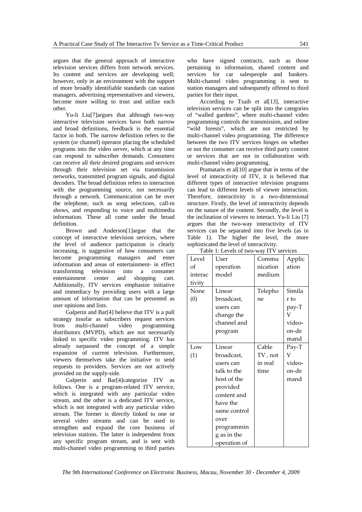argues that the general approach of interactive television services differs from network services. Its content and services are developing well; however, only in an environment with the support of more broadly identifiable standards can station managers, advertising representatives and viewers, become more willing to trust and utilize each other.

Yu-li Liu[7]argues that although two-way interactive television services have both narrow and broad definitions, feedback is the essential factor in both. The narrow definition refers to the system (or channel) operator placing the scheduled programs into the video server, which at any time can respond to subscriber demands. Consumers can receive all their desired programs and services through their television set via transmission networks, transmitted program signals, and digital decoders. The broad definition refers to interaction with the programming source, not necessarily through a network. Communication can be over the telephone, such as song selections, call-in shows, and responding to voice and multimedia information. These all come under the broad definition.

Brown and Anderson[1]argue that the concept of interactive television services, where the level of audience participation is clearly increasing, is suggestive of how consumers can become programming managers and enter information and areas of entertainment- in effect transforming television into a consumer entertainment center and shopping cart. Additionally, ITV services emphasize initiative and immediacy by providing users with a large amount of information that can be presented as user opinions and lists.

Galperin and Bar[4] believe that ITV is a pull strategy insofar as subscribers request services from multi-channel video programming distributors (MVPD), which are not necessarily linked to specific video programming. ITV has already surpassed the concept of a simple expansion of current television. Furthermore, viewers themselves take the initiative to send requests to providers. Services are not actively provided on the supply-side.

Galperin and Bar[4]categorize ITV as follows. One is a program-related ITV service, which is integrated with any particular video stream, and the other is a dedicated ITV service, which is not integrated with any particular video stream. The former is directly linked to one or several video streams and can be used to strengthen and expand the core business of television stations. The latter is independent from any specific program stream, and is sent with multi-channel video programming to third parties

who have signed contracts, such as those pertaining to information, shared content and services for car salespeople and bankers. Multi-channel video programming is sent to station managers and subsequently offered to third parties for their input.

According to Tsaih et al[13], interactive television services can be split into the categories of "walled gardens", where multi-channel video programming controls the transmission, and online 'wild forests", which are not restricted by multi-channel video programming. The difference between the two ITV services hinges on whether or not the consumer can receive third party content or services that are not in collaboration with multi-channel video programming.

Pramataris et al[10] argue that in terms of the level of interactivity of ITV, it is believed that different types of interactive television programs can lead to different levels of viewer interaction. Therefore, interactivity is a two-dimensional structure. Firstly, the level of interactivity depends on the nature of the content. Secondly, the level is the inclination of viewers to interact. Yu-li Liu [7] argues that the two-way interactivity of ITV services can be separated into five levels (as in Table 1). The higher the level, the more sophisticated the level of interactivity.

| Table 1: Levels of two-way ITV services |              |          |        |  |
|-----------------------------------------|--------------|----------|--------|--|
| Level                                   | User         | Commu    | Applic |  |
| of                                      | operation    | nication | ation  |  |
| interac                                 | model        | medium   |        |  |
| tivity                                  |              |          |        |  |
| None                                    | Linear       | Telepho  | Simila |  |
| (0)                                     | broadcast,   | ne       | r to   |  |
|                                         | users can    |          | pay-T  |  |
|                                         | change the   |          | V      |  |
|                                         | channel and  |          | video- |  |
|                                         | program      |          | on-de  |  |
|                                         |              |          | mand   |  |
| Low                                     | Linear       | Cable    | Pay-T  |  |
| (1)                                     | broadcast,   | TV, not  | V      |  |
|                                         | users can    | in real  | video- |  |
|                                         | talk to the  | time     | on-de  |  |
|                                         | host of the  |          | mand   |  |
|                                         | provided     |          |        |  |
|                                         | content and  |          |        |  |
|                                         | have the     |          |        |  |
|                                         | same control |          |        |  |
|                                         | over         |          |        |  |
|                                         | programmin   |          |        |  |
|                                         | g as in the  |          |        |  |
|                                         | operation of |          |        |  |

Table 1: Levels of two-way ITV services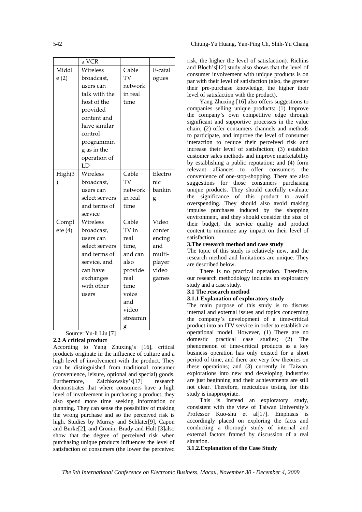|               | a VCR          |          |         |
|---------------|----------------|----------|---------|
| Middl         | Wireless       | Cable    | E-catal |
| e(2)          | broadcast,     | TV       | ogues   |
|               | users can      | network  |         |
|               | talk with the  | in real  |         |
|               | host of the    | time     |         |
|               | provided       |          |         |
|               | content and    |          |         |
|               | have similar   |          |         |
|               | control        |          |         |
|               | programmin     |          |         |
|               | g as in the    |          |         |
|               | operation of   |          |         |
|               | LD             |          |         |
| High(3        | Wireless       | Cable    | Electro |
| $\mathcal{E}$ | broadcast,     | TV       | nic     |
|               | users can      | network  | bankin  |
|               | select servers | in real  | g       |
|               | and terms of   | time     |         |
|               | service        |          |         |
| Compl         | Wireless       | Cable    | Video   |
| ete(4)        | broadcast,     | TV in    | confer  |
|               | users can      | real     | encing  |
|               | select servers | time,    | and     |
|               | and terms of   | and can  | multi-  |
|               | service, and   | also     | player  |
|               | can have       | provide  | video   |
|               | exchanges      | real     | games   |
|               | with other     | time     |         |
|               | users          | voice    |         |
|               |                | and      |         |
|               |                | video    |         |
|               |                | streamin |         |
|               |                | g        |         |

Source: Yu-li Liu [7]

#### **2.2 A critical product**

According to Yang Zhuxing's [16], critical products originate in the influence of culture and a high level of involvement with the product. They can be distinguished from traditional consumer (convenience, leisure, optional and special) goods. Furthermore, Zaichkowsky's[17] research demonstrates that where consumers have a high level of involvement in purchasing a product, they also spend more time seeking information or planning. They can sense the possibility of making the wrong purchase and so the perceived risk is high. Studies by Murray and Schlater[9], Capon and Burke[2], and Cronin, Brady and Hult [3]also show that the degree of perceived risk when purchasing unique products influences the level of satisfaction of consumers (the lower the perceived

risk, the higher the level of satisfaction). Richins and Bloch's[12] study also shows that the level of consumer involvement with unique products is on par with their level of satisfaction (also, the greater their pre-purchase knowledge, the higher their level of satisfaction with the product).

Yang Zhuxing [16] also offers suggestions to companies selling unique products: (1) Improve the company's own competitive edge through significant and supportive processes in the value chain; (2) offer consumers channels and methods to participate, and improve the level of consumer interaction to reduce their perceived risk and increase their level of satisfaction; (3) establish customer sales methods and improve marketability by establishing a public reputation; and (4) form relevant alliances to offer consumers the convenience of one-stop-shopping. There are also suggestions for those consumers purchasing unique products. They should carefully evaluate the significance of this product to avoid overspending. They should also avoid making impulse purchases induced by the shopping environment, and they should consider the size of their budget, the service quality and product content to minimize any impact on their level of satisfaction.

#### **3.The research method and case study**

The topic of this study is relatively new, and the research method and limitations are unique. They are described below.

There is no practical operation. Therefore, our research methodology includes an exploratory study and a case study.

#### **3.1 The research method**

#### **3.1.1 Explanation of exploratory study**

The main purpose of this study is to discuss internal and external issues and topics concerning the company's development of a time-critical product into an ITV service in order to establish an operational model. However, (1) There are no domestic practical case studies; (2) The phenomenon of time-critical products as a key business operation has only existed for a short period of time, and there are very few theories on these operations; and (3) currently in Taiwan, explorations into new and developing industries are just beginning and their achievements are still not clear. Therefore, meticulous testing for this study is inappropriate.

This is instead an exploratory study, consistent with the view of Taiwan University's Professor Kuo-shu et al[17]. Emphasis is accordingly placed on exploring the facts and conducting a thorough study of internal and external factors framed by discussion of a real situation.

**3.1.2.Explanation of the Case Study**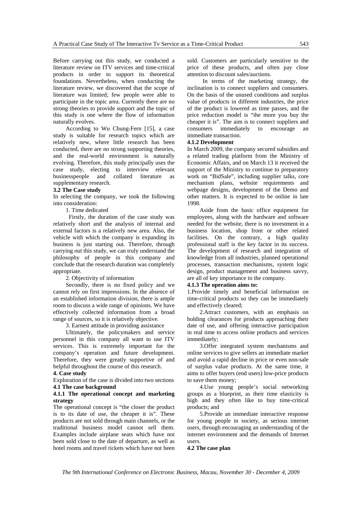Before carrying out this study, we conducted a literature review on ITV services and time-critical products in order to support its theoretical foundations. Nevertheless, when conducting the literature review, we discovered that the scope of literature was limited; few people were able to participate in the topic area. Currently there are no strong theories to provide support and the topic of this study is one where the flow of information naturally evolves.

According to Wu Chung-Fern [15], a case study is suitable for research topics which are relatively new, where little research has been conducted, there are no strong supporting theories, and the real-world environment is naturally evolving. Therefore, this study principally uses the case study, electing to interview relevant businesspeople and collated literature as supplementary research.

#### **3.2 The Case study**

In selecting the company, we took the following into consideration:

1. Time dedicated

 Firstly, the duration of the case study was relatively short and the analysis of internal and external factors is a relatively new area. Also, the vehicle with which the company is expanding its business is just starting out. Therefore, through carrying out this study, we can truly understand the philosophy of people in this company and conclude that the research duration was completely appropriate.

2. Objectivity of information

Secondly, there is no fixed policy and we cannot rely on first impressions. In the absence of an established information division, there is ample room to discuss a wide range of opinions. We have effectively collected information from a broad range of sources, so it is relatively objective.

3. Earnest attitude in providing assistance

Ultimately, the policymakers and service personnel in this company all want to use ITV services. This is extremely important for the company's operation and future development. Therefore, they were greatly supportive of and helpful throughout the course of this research.

#### **4. Case study**

Exploration of the case is divided into two sections **4.1 The case background** 

#### **4.1.1 The operational concept and marketing strategy**

The operational concept is "the closer the product is to its date of use, the cheaper it is". These products are not sold through main channels, or the traditional business model cannot sell them. Examples include airplane seats which have not been sold close to the date of departure, as well as hotel rooms and travel tickets which have not been

sold. Customers are particularly sensitive to the price of these products, and often pay close attention to discount sales/auctions.

 In terms of the marketing strategy, the inclination is to connect suppliers and consumers. On the basis of the unused conditions and surplus value of products in different industries, the price of the product is lowered as time passes, and the price reduction model is "the more you buy the cheaper it is". The aim is to connect suppliers and consumers immediately to encourage an immediate transaction.

#### **4.1.2 Development**

In March 2009, the company secured subsidies and a related trading platform from the Ministry of Economic Affairs, and on March 13 it received the support of the Ministry to continue to preparatory work on "BidSale", including supplier talks, core mechanism plans, website requirements and webpage designs, development of the Demo and other matters. It is expected to be online in late 1998.

Aside from the basic office equipment for employees, along with the hardware and software needed for the website, there is no investment in a business location, shop front or other related facilities. On the contrary, a high quality professional staff is the key factor in its success. The development of research and integration of knowledge from all industries, planned operational processes, transaction mechanisms, system logic design, product management and business savvy, are all of key importance to the company.

#### **4.1.3 The operation aims to:**

1.Provide timely and beneficial information on time-critical products so they can be immediately and effectively cleared;

2.Attract customers, with an emphasis on holding clearances for products approaching their date of use, and offering interactive participation in real time to access online products and services immediately;

3.Offer integrated system mechanisms and online services to give sellers an immediate market and avoid a rapid decline in price or even non-sale of surplus value products. At the same time, it aims to offer buyers (end users) low-price products to save them money;

4.Use young people's social networking groups as a blueprint, as their time elasticity is high and they often like to buy time-critical products; and

5.Provide an immediate interactive response for young people in society, as serious internet users, through encouraging an understanding of the internet environment and the demands of Internet users.

**4.2 The case plan**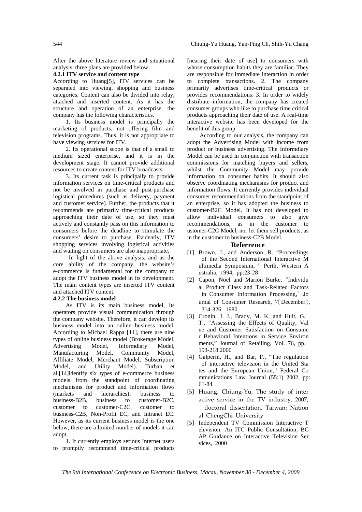After the above literature review and situational analysis, three plans are provided below:

#### **4.2.1 ITV service and content type**

According to Huang[5], ITV services can be separated into viewing, shopping and business categories. Content can also be divided into relay, attached and inserted content. As it has the structure and operation of an enterprise, the company has the following characteristics.

1. Its business model is principally the marketing of products, not offering film and television programs. Thus, it is not appropriate to have viewing services for ITV.

2. Its operational scope is that of a small to medium sized enterprise, and it is in the development stage. It cannot provide additional resources to create content for ITV broadcasts.

3. Its current task is principally to provide information services on time-critical products and not be involved in purchase and post-purchase logistical procedures (such as delivery, payment and customer service). Further, the products that it recommends are primarily time-critical products approaching their date of use, so they must actively and constantly pass on this information to consumers before the deadline to stimulate the consumers' desire to purchase. Evidently, ITV shopping services involving logistical activities and waiting on consumers are also inappropriate.

 In light of the above analysis, and as the core ability of the company, the website's e-commerce is fundamental for the company to adopt the ITV business model in its development. The main content types are inserted ITV content and attached ITV content.

#### **4.2.2 The business model**

As ITV is its main business model, its operators provide visual communication through the company website. Therefore, it can develop its business model into an online business model. According to Michael Rappa [11], there are nine types of online business model (Brokerage Model, Advertising Model, Informdiary Model, Manufacturing Model, Community Model, Affiliate Model, Merchant Model, Subscription Model, and Utility Model). Turban et al.[14]identify six types of e-commerce business models from the standpoint of coordinating mechanisms for product and information flows (markets and hierarchies): business to business-B2B, business to customer-B2C, customer to customer-C2C, customer to business-C2B, Non-Profit EC, and Intranet EC. However, as its current business model is the one below, there are a limited number of models it can adopt.

1. It currently employs serious Internet users to promptly recommend time-critical products

[nearing their date of use] to consumers with whose consumption habits they are familiar. They are responsible for immediate interaction in order to complete transactions. 2. The company primarily advertises time-critical products or provides recommendations. 3. In order to widely distribute information, the company has created consumer groups who like to purchase time critical products approaching their date of use. A real-time interactive website has been developed for the benefit of this group.

According to our analysis, the company can adopt the Advertising Model with income from product or business advertising. The Informdiary Model can be used in conjunction with transaction commissions for matching buyers and sellers, whilst the Community Model may provide information on consumer habits. It should also observe coordinating mechanisms for product and information flows. It currently provides individual consumer recommendations from the standpoint of an enterprise, so it has adopted the business to customer-B2C Model. It has not developed to allow individual consumers to also give recommendations, as in the customer to ustomer-C2C Model, nor let them sell products, as in the customer to business-C2B Model.

#### **Referrence**

- [1] Brown, J., and Anderson, R. "Proceedings of the Second International Interactive M ultimedia Symposium, " Perth, Western A ustralia, 1994, pp:23-28
- [2] Capon, Noel and Marion Burke, "Individu al Product Class and Task-Related Factors in Consumer Information Processing,"Jo urnal of Consumer Research, 7(December), 314-326. 1980
- [3] Cronin, J. J., Brady, M. K. and Hult, G. T.. "Assessing the Effects of Quality, Val ue and Customer Satisfaction on Consume r Behavioral Intentions in Service Environ ments," Journal of Retailing, Vol. 76, pp. 193-218.2000
- [4] Galperin, H., and Bar, F., "The regulation of interactive television in the United Sta tes and the European Union," Federal Co mmunications Law Journal (55:1) 2002, pp: 61-84
- [5] Huang, Chiung‐Yu, The study of inter active service in the TV industry, 2007, doctoral dissertation, Taiwan: Nation al ChengChi University
- [5] Independent TV Commission Interactive T elevision: An ITC Public Consultation, BC AP Guidance on Interactive Television Ser vices, 2000